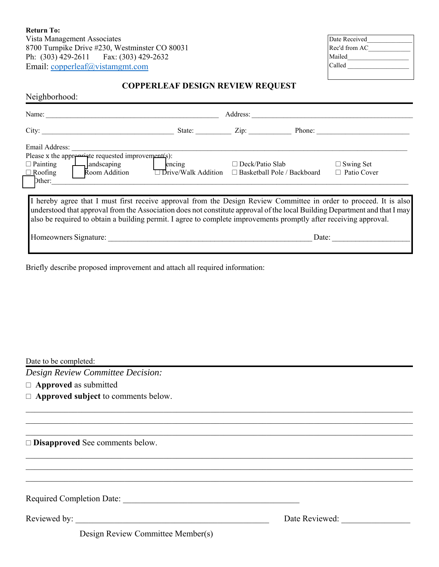**Return To:** 8700 Turnpike Drive #230, Westminster CO 80031<br>Ph: (303) 429-2611 Fax: (303) 429-2632 Fax:  $(303)$  429-2632 Email: copperleaf@vistamgmt.com

| Date Received |
|---------------|
| Rec'd from AC |
| Mailed        |
| Called        |
|               |

# **COPPERLEAF DESIGN REVIEW REQUEST**

Neighborhood:

| Name:                                                                                                                      |                     | Address:                     |                                    |                    |
|----------------------------------------------------------------------------------------------------------------------------|---------------------|------------------------------|------------------------------------|--------------------|
| City:                                                                                                                      | State:              | $\mathsf{Zip:}\qquad \qquad$ | Phone:                             |                    |
| Email Address:                                                                                                             |                     |                              |                                    |                    |
| Please x the appropriate requested improvements):                                                                          |                     |                              |                                    |                    |
| andscaping<br>$\Box$ Painting                                                                                              | encing              | $\Box$ Deck/Patio Slab       |                                    | $\Box$ Swing Set   |
| Room Addition<br>$\Box$ Roofing                                                                                            | Drive/Walk Addition |                              | $\Box$ Basketball Pole / Backboard | $\Box$ Patio Cover |
| Dther:                                                                                                                     |                     |                              |                                    |                    |
|                                                                                                                            |                     |                              |                                    |                    |
|                                                                                                                            |                     |                              |                                    |                    |
| I hereby agree that I must first receive approval from the Design Review Committee in order to proceed. It is also         |                     |                              |                                    |                    |
| understood that approval from the Association does not constitute approval of the local Building Department and that I may |                     |                              |                                    |                    |
| also be required to obtain a building permit. I agree to complete improvements promptly after receiving approval.          |                     |                              |                                    |                    |
|                                                                                                                            |                     |                              |                                    |                    |
|                                                                                                                            |                     |                              |                                    |                    |
| Homeowners Signature:                                                                                                      |                     |                              | Date:                              |                    |
|                                                                                                                            |                     |                              |                                    |                    |

Briefly describe proposed improvement and attach all required information:

| Date to be completed:                      |                |  |
|--------------------------------------------|----------------|--|
| Design Review Committee Decision:          |                |  |
| $\Box$ Approved as submitted               |                |  |
| $\Box$ Approved subject to comments below. |                |  |
|                                            |                |  |
|                                            |                |  |
| $\square$ Disapproved See comments below.  |                |  |
|                                            |                |  |
|                                            |                |  |
| Required Completion Date:                  |                |  |
| Reviewed by:                               | Date Reviewed: |  |
| Design Review Committee Member(s)          |                |  |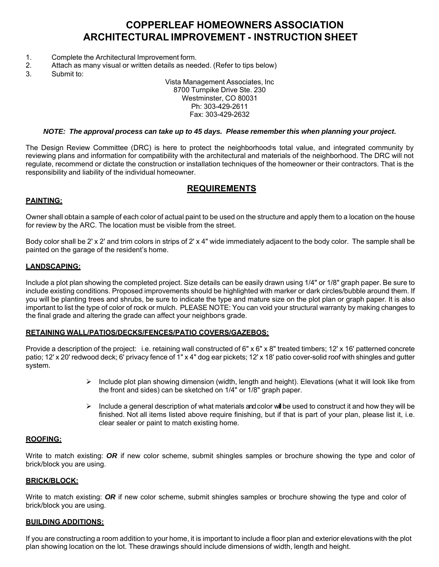# **COPPERLEAF HOMEOWNERS ASSOCIATION ARCHITECTURAL IMPROVEMENT - INSTRUCTION SHEET**

- 1. Complete the Architectural Improvement form.
- 2. Attach as many visual or written details as needed. (Refer to tips below)
- 3. Submit to:

Vista Management Associates, Inc 8700 Turnpike Drive Ste. 230 Westminster, CO 80031 Ph: 303-429-2611 Fax: 303-429-2632

#### *NOTE: The approval process can take up to 45 days. Please remember this when planning your project***.**

The Design Review Committee (DRC) is here to protect the neighborhood-s total value, and integrated community by reviewing plans and information for compatibility with the architectural and materials of the neighborhood. The DRC will not regulate, recommend or dictate the construction or installation techniques of the homeowner or their contractors. That is the responsibility and liability of the individual homeowner.

## **REQUIREMENTS**

### **PAINTING:**

Owner shall obtain a sample of each color of actual paint to be used on the structure and apply them to a location on the house for review by the ARC. The location must be visible from the street.

Body color shall be 2' x 2' and trim colors in strips of 2' x 4" wide immediately adjacent to the body color. The sample shall be painted on the garage of the resident's home.

#### **LANDSCAPING:**

Include a plot plan showing the completed project. Size details can be easily drawn using 1/4" or 1/8" graph paper. Be sure to include existing conditions. Proposed improvements should be highlighted with marker or dark circles/bubble around them. If you will be planting trees and shrubs, be sure to indicate the type and mature size on the plot plan or graph paper. It is also important to list the type of color of rock or mulch. PLEASE NOTE: You can void your structural warranty by making changes to the final grade and altering the grade can affect your neighbor-s grade.

#### **RETAINING WALL/PATIOS/DECKS/FENCES/PATIO COVERS/GAZEBOS:**

Provide a description of the project: i.e. retaining wall constructed of 6" x 6" x 8" treated timbers; 12' x 16' patterned concrete patio; 12' x 20' redwood deck; 6' privacy fence of 1" x 4" dog ear pickets; 12' x 18' patio cover-solid roof with shingles and gutter system.

- $\triangleright$  Include plot plan showing dimension (width, length and height). Elevations (what it will look like from the front and sides) can be sketched on 1/4" or 1/8" graph paper.
- $\triangleright$  Include a general description of what materials and color will be used to construct it and how they will be finished. Not all items listed above require finishing, but if that is part of your plan, please list it, i.e. clear sealer or paint to match existing home.

### **ROOFING:**

Write to match existing: *OR* if new color scheme, submit shingles samples or brochure showing the type and color of brick/block you are using.

#### **BRICK/BLOCK:**

Write to match existing: *OR* if new color scheme, submit shingles samples or brochure showing the type and color of brick/block you are using.

### **BUILDING ADDITIONS:**

If you are constructing a room addition to your home, it is important to include a floor plan and exterior elevations with the plot plan showing location on the lot. These drawings should include dimensions of width, length and height.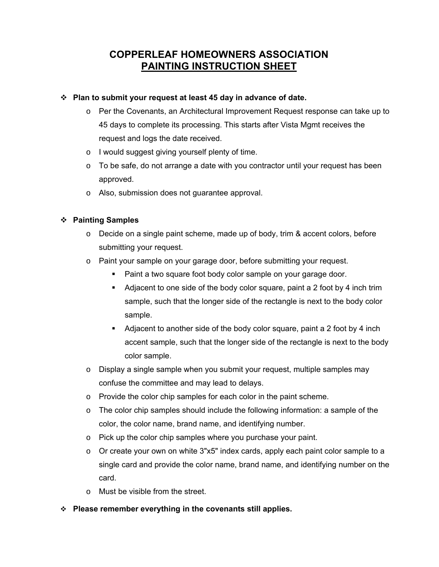# **COPPERLEAF HOMEOWNERS ASSOCIATION PAINTING INSTRUCTION SHEET**

## **Plan to submit your request at least 45 day in advance of date.**

- o Per the Covenants, an Architectural Improvement Request response can take up to 45 days to complete its processing. This starts after Vista Mgmt receives the request and logs the date received.
- o I would suggest giving yourself plenty of time.
- $\circ$  To be safe, do not arrange a date with you contractor until your request has been approved.
- o Also, submission does not guarantee approval.

## **Painting Samples**

- $\circ$  Decide on a single paint scheme, made up of body, trim & accent colors, before submitting your request.
- o Paint your sample on your garage door, before submitting your request.
	- Paint a two square foot body color sample on your garage door.
	- Adjacent to one side of the body color square, paint a 2 foot by 4 inch trim sample, such that the longer side of the rectangle is next to the body color sample.
	- Adjacent to another side of the body color square, paint a 2 foot by 4 inch accent sample, such that the longer side of the rectangle is next to the body color sample.
- o Display a single sample when you submit your request, multiple samples may confuse the committee and may lead to delays.
- o Provide the color chip samples for each color in the paint scheme.
- $\circ$  The color chip samples should include the following information: a sample of the color, the color name, brand name, and identifying number.
- o Pick up the color chip samples where you purchase your paint.
- $\circ$  Or create your own on white 3"x5" index cards, apply each paint color sample to a single card and provide the color name, brand name, and identifying number on the card.
- o Must be visible from the street.
- **Please remember everything in the covenants still applies.**